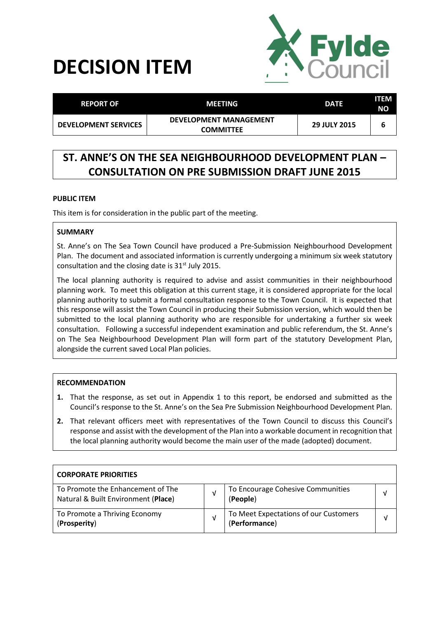# **DECISION ITEM**



| <b>REPORT OF</b>            | MEETING                                           | <b>DATE</b>         | <b>ITEM</b><br>NΟ |
|-----------------------------|---------------------------------------------------|---------------------|-------------------|
| <b>DEVELOPMENT SERVICES</b> | <b>DEVELOPMENT MANAGEMENT</b><br><b>COMMITTEE</b> | <b>29 JULY 2015</b> | b                 |

# **ST. ANNE'S ON THE SEA NEIGHBOURHOOD DEVELOPMENT PLAN – CONSULTATION ON PRE SUBMISSION DRAFT JUNE 2015**

# **PUBLIC ITEM**

This item is for consideration in the public part of the meeting.

# **SUMMARY**

St. Anne's on The Sea Town Council have produced a Pre-Submission Neighbourhood Development Plan. The document and associated information is currently undergoing a minimum six week statutory consultation and the closing date is 31<sup>st</sup> July 2015.

The local planning authority is required to advise and assist communities in their neighbourhood planning work. To meet this obligation at this current stage, it is considered appropriate for the local planning authority to submit a formal consultation response to the Town Council. It is expected that this response will assist the Town Council in producing their Submission version, which would then be submitted to the local planning authority who are responsible for undertaking a further six week consultation. Following a successful independent examination and public referendum, the St. Anne's on The Sea Neighbourhood Development Plan will form part of the statutory Development Plan, alongside the current saved Local Plan policies.

# **RECOMMENDATION**

- **1.** That the response, as set out in Appendix 1 to this report, be endorsed and submitted as the Council's response to the St. Anne's on the Sea Pre Submission Neighbourhood Development Plan.
- **2.** That relevant officers meet with representatives of the Town Council to discuss this Council's response and assist with the development of the Plan into a workable document in recognition that the local planning authority would become the main user of the made (adopted) document.

| <b>CORPORATE PRIORITIES</b>                                              |   |                                                        |   |
|--------------------------------------------------------------------------|---|--------------------------------------------------------|---|
| To Promote the Enhancement of The<br>Natural & Built Environment (Place) | v | To Encourage Cohesive Communities<br>(People)          | ν |
| To Promote a Thriving Economy<br>(Prosperity)                            |   | To Meet Expectations of our Customers<br>(Performance) | v |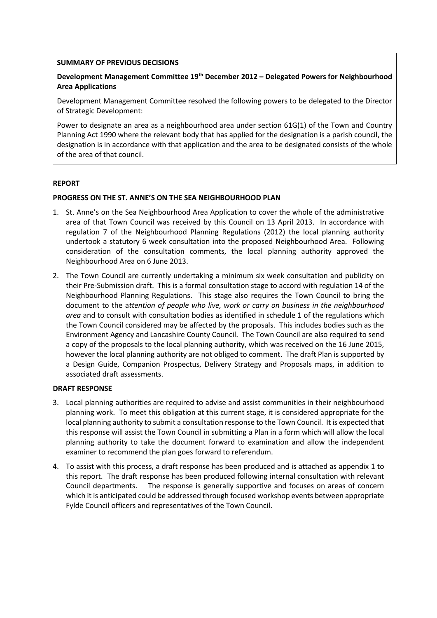# **SUMMARY OF PREVIOUS DECISIONS**

# **Development Management Committee 19th December 2012 – Delegated Powers for Neighbourhood Area Applications**

Development Management Committee resolved the following powers to be delegated to the Director of Strategic Development:

Power to designate an area as a neighbourhood area under section 61G(1) of the Town and Country Planning Act 1990 where the relevant body that has applied for the designation is a parish council, the designation is in accordance with that application and the area to be designated consists of the whole of the area of that council.

#### **REPORT**

#### **PROGRESS ON THE ST. ANNE'S ON THE SEA NEIGHBOURHOOD PLAN**

- 1. St. Anne's on the Sea Neighbourhood Area Application to cover the whole of the administrative area of that Town Council was received by this Council on 13 April 2013. In accordance with regulation 7 of the Neighbourhood Planning Regulations (2012) the local planning authority undertook a statutory 6 week consultation into the proposed Neighbourhood Area. Following consideration of the consultation comments, the local planning authority approved the Neighbourhood Area on 6 June 2013.
- 2. The Town Council are currently undertaking a minimum six week consultation and publicity on their Pre-Submission draft. This is a formal consultation stage to accord with regulation 14 of the Neighbourhood Planning Regulations. This stage also requires the Town Council to bring the document to the a*ttention of people who live, work or carry on business in the neighbourhood area* and to consult with consultation bodies as identified in schedule 1 of the regulations which the Town Council considered may be affected by the proposals. This includes bodies such as the Environment Agency and Lancashire County Council. The Town Council are also required to send a copy of the proposals to the local planning authority, which was received on the 16 June 2015, however the local planning authority are not obliged to comment. The draft Plan is supported by a Design Guide, Companion Prospectus, Delivery Strategy and Proposals maps, in addition to associated draft assessments.

#### **DRAFT RESPONSE**

- 3. Local planning authorities are required to advise and assist communities in their neighbourhood planning work. To meet this obligation at this current stage, it is considered appropriate for the local planning authority to submit a consultation response to the Town Council. It is expected that this response will assist the Town Council in submitting a Plan in a form which will allow the local planning authority to take the document forward to examination and allow the independent examiner to recommend the plan goes forward to referendum.
- 4. To assist with this process, a draft response has been produced and is attached as appendix 1 to this report. The draft response has been produced following internal consultation with relevant Council departments. The response is generally supportive and focuses on areas of concern which it is anticipated could be addressed through focused workshop events between appropriate Fylde Council officers and representatives of the Town Council.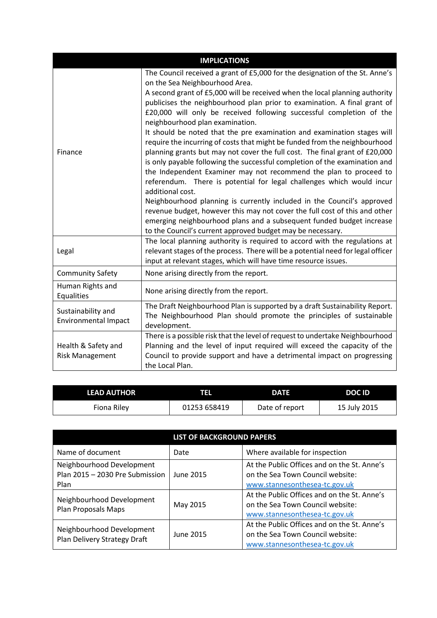| <b>IMPLICATIONS</b>                               |                                                                                                                                                                                                                                                                                                                                                                                                                                                                                                                                                                                                                                                                                                                                                                                                                                                                                                                                                                                                                                                                                                                                                                            |  |  |
|---------------------------------------------------|----------------------------------------------------------------------------------------------------------------------------------------------------------------------------------------------------------------------------------------------------------------------------------------------------------------------------------------------------------------------------------------------------------------------------------------------------------------------------------------------------------------------------------------------------------------------------------------------------------------------------------------------------------------------------------------------------------------------------------------------------------------------------------------------------------------------------------------------------------------------------------------------------------------------------------------------------------------------------------------------------------------------------------------------------------------------------------------------------------------------------------------------------------------------------|--|--|
| Finance                                           | The Council received a grant of £5,000 for the designation of the St. Anne's<br>on the Sea Neighbourhood Area.<br>A second grant of £5,000 will be received when the local planning authority<br>publicises the neighbourhood plan prior to examination. A final grant of<br>£20,000 will only be received following successful completion of the<br>neighbourhood plan examination.<br>It should be noted that the pre examination and examination stages will<br>require the incurring of costs that might be funded from the neighbourhood<br>planning grants but may not cover the full cost. The final grant of £20,000<br>is only payable following the successful completion of the examination and<br>the Independent Examiner may not recommend the plan to proceed to<br>referendum. There is potential for legal challenges which would incur<br>additional cost.<br>Neighbourhood planning is currently included in the Council's approved<br>revenue budget, however this may not cover the full cost of this and other<br>emerging neighbourhood plans and a subsequent funded budget increase<br>to the Council's current approved budget may be necessary. |  |  |
| Legal                                             | The local planning authority is required to accord with the regulations at<br>relevant stages of the process. There will be a potential need for legal officer<br>input at relevant stages, which will have time resource issues.                                                                                                                                                                                                                                                                                                                                                                                                                                                                                                                                                                                                                                                                                                                                                                                                                                                                                                                                          |  |  |
| <b>Community Safety</b>                           | None arising directly from the report.                                                                                                                                                                                                                                                                                                                                                                                                                                                                                                                                                                                                                                                                                                                                                                                                                                                                                                                                                                                                                                                                                                                                     |  |  |
| Human Rights and<br>Equalities                    | None arising directly from the report.                                                                                                                                                                                                                                                                                                                                                                                                                                                                                                                                                                                                                                                                                                                                                                                                                                                                                                                                                                                                                                                                                                                                     |  |  |
| Sustainability and<br><b>Environmental Impact</b> | The Draft Neighbourhood Plan is supported by a draft Sustainability Report.<br>The Neighbourhood Plan should promote the principles of sustainable<br>development.                                                                                                                                                                                                                                                                                                                                                                                                                                                                                                                                                                                                                                                                                                                                                                                                                                                                                                                                                                                                         |  |  |
| Health & Safety and<br><b>Risk Management</b>     | There is a possible risk that the level of request to undertake Neighbourhood<br>Planning and the level of input required will exceed the capacity of the<br>Council to provide support and have a detrimental impact on progressing<br>the Local Plan.                                                                                                                                                                                                                                                                                                                                                                                                                                                                                                                                                                                                                                                                                                                                                                                                                                                                                                                    |  |  |

| <b>LEAD AUTHOR</b> | w            | <b>DATE</b>    | DOC ID       |
|--------------------|--------------|----------------|--------------|
| Fiona Rilev        | 01253 658419 | Date of report | 15 July 2015 |

| <b>LIST OF BACKGROUND PAPERS</b>                                     |           |                                                                                                                  |
|----------------------------------------------------------------------|-----------|------------------------------------------------------------------------------------------------------------------|
| Name of document                                                     | Date      | Where available for inspection                                                                                   |
| Neighbourhood Development<br>Plan 2015 - 2030 Pre Submission<br>Plan | June 2015 | At the Public Offices and on the St. Anne's<br>on the Sea Town Council website:<br>www.stannesonthesea-tc.gov.uk |
| Neighbourhood Development<br>Plan Proposals Maps                     | May 2015  | At the Public Offices and on the St. Anne's<br>on the Sea Town Council website:<br>www.stannesonthesea-tc.gov.uk |
| Neighbourhood Development<br>Plan Delivery Strategy Draft            | June 2015 | At the Public Offices and on the St. Anne's<br>on the Sea Town Council website:<br>www.stannesonthesea-tc.gov.uk |